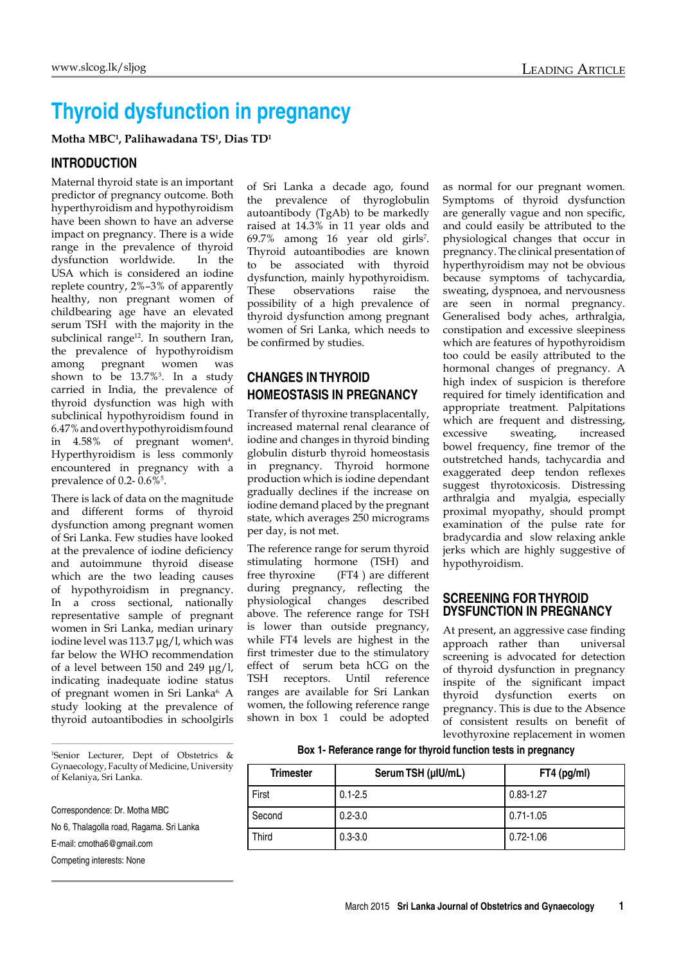# **Thyroid dysfunction in pregnancy**

**Motha MBC1 , Palihawadana TS1 , Dias TD1**

## **Introduction**

Maternal thyroid state is an important predictor of pregnancy outcome. Both hyperthyroidism and hypothyroidism have been shown to have an adverse impact on pregnancy. There is a wide range in the prevalence of thyroid dysfunction worldwide. In the USA which is considered an iodine replete country, 2%–3% of apparently healthy, non pregnant women of childbearing age have an elevated serum TSH with the majority in the subclinical range<sup>12</sup>. In southern Iran, the prevalence of hypothyroidism among pregnant women was shown to be 13.7%3 . In a study carried in India, the prevalence of thyroid dysfunction was high with subclinical hypothyroidism found in 6.47% and overt hypothyroidismfound in 4.58% of pregnant women<sup>4</sup>. Hyperthyroidism is less commonly encountered in pregnancy with a prevalence of  $0.2 - 0.6\%$ <sup>5</sup>.

There is lack of data on the magnitude and different forms of thyroid dysfunction among pregnant women of Sri Lanka. Few studies have looked at the prevalence of iodine deficiency and autoimmune thyroid disease which are the two leading causes of hypothyroidism in pregnancy. In a cross sectional, nationally representative sample of pregnant women in Sri Lanka, median urinary iodine level was 113.7 μg/l, which was far below the WHO recommendation of a level between 150 and 249 μg/l, indicating inadequate iodine status of pregnant women in Sri Lanka<sup>6.</sup> A study looking at the prevalence of thyroid autoantibodies in schoolgirls

1 Senior Lecturer, Dept of Obstetrics & Gynaecology, Faculty of Medicine, University of Kelaniya, Sri Lanka.

Correspondence: Dr. Motha MBC

No 6, Thalagolla road, Ragama. Sri Lanka

E-mail: cmotha6@gmail.com

Competing interests: None

of Sri Lanka a decade ago, found the prevalence of thyroglobulin autoantibody (TgAb) to be markedly raised at 14.3% in 11 year olds and  $69.7\%$  among 16 year old girls<sup>7</sup>. Thyroid autoantibodies are known to be associated with thyroid dysfunction, mainly hypothyroidism. These observations raise the possibility of a high prevalence of thyroid dysfunction among pregnant women of Sri Lanka, which needs to be confirmed by studies.

# **Changes in thyroid homeostasis in pregnancy**

Transfer of thyroxine transplacentally, increased maternal renal clearance of iodine and changes in thyroid binding globulin disturb thyroid homeostasis in pregnancy. Thyroid hormone production which is iodine dependant gradually declines if the increase on iodine demand placed by the pregnant state, which averages 250 micrograms per day, is not met.

The reference range for serum thyroid stimulating hormone (TSH) and free thyroxine (FT4 ) are different during pregnancy, reflecting the physiological changes described above. The reference range for TSH is lower than outside pregnancy, while FT4 levels are highest in the first trimester due to the stimulatory effect of serum beta hCG on the TSH receptors. Until reference ranges are available for Sri Lankan women, the following reference range shown in box 1 could be adopted as normal for our pregnant women. Symptoms of thyroid dysfunction are generally vague and non specific, and could easily be attributed to the physiological changes that occur in pregnancy. The clinical presentation of hyperthyroidism may not be obvious because symptoms of tachycardia, sweating, dyspnoea, and nervousness are seen in normal pregnancy. Generalised body aches, arthralgia, constipation and excessive sleepiness which are features of hypothyroidism too could be easily attributed to the hormonal changes of pregnancy. A high index of suspicion is therefore required for timely identification and appropriate treatment. Palpitations which are frequent and distressing, excessive sweating, increased bowel frequency, fine tremor of the outstretched hands, tachycardia and exaggerated deep tendon reflexes suggest thyrotoxicosis. Distressing arthralgia and myalgia, especially proximal myopathy, should prompt examination of the pulse rate for bradycardia and slow relaxing ankle jerks which are highly suggestive of hypothyroidism.

## **Screening for thyroid dysfunction in pregnancy**

At present, an aggressive case finding approach rather than universal screening is advocated for detection of thyroid dysfunction in pregnancy inspite of the significant impact thyroid dysfunction exerts on pregnancy. This is due to the Absence of consistent results on benefit of levothyroxine replacement in women

#### **Box 1- Referance range for thyroid function tests in pregnancy**

| <b>Trimester</b> | Serum TSH (µIU/mL) | FT4 (pg/ml)   |
|------------------|--------------------|---------------|
| First            | $0.1 - 2.5$        | 0.83-1.27     |
| Second           | $0.2 - 3.0$        | 0.71-1.05     |
| Third            | $0.3 - 3.0$        | $0.72 - 1.06$ |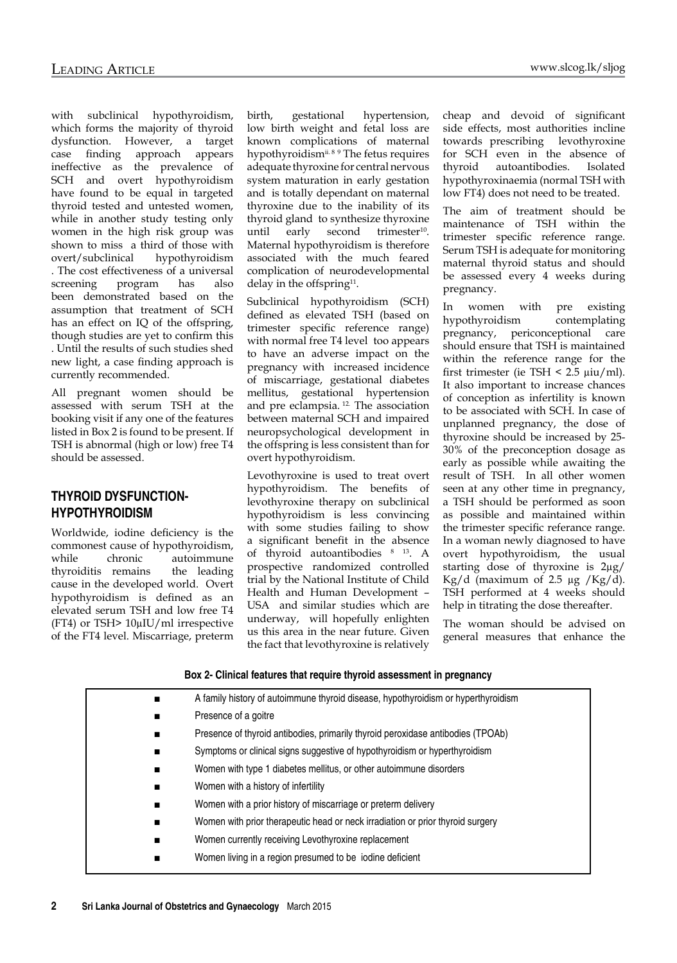with subclinical hypothyroidism, which forms the majority of thyroid dysfunction. However, a target case finding approach appears ineffective as the prevalence of SCH and overt hypothyroidism have found to be equal in targeted thyroid tested and untested women, while in another study testing only women in the high risk group was shown to miss a third of those with overt/subclinical hypothyroidism . The cost effectiveness of a universal screening program has also been demonstrated based on the assumption that treatment of SCH has an effect on IQ of the offspring, though studies are yet to confirm this . Until the results of such studies shed new light, a case finding approach is currently recommended.

All pregnant women should be assessed with serum TSH at the booking visit if any one of the features listed in Box 2 is found to be present. If TSH is abnormal (high or low) free T4 should be assessed.

# **Thyroid dysfunctionhypothyroidism**

Worldwide, iodine deficiency is the commonest cause of hypothyroidism, while chronic autoimmune thyroiditis remains the leading cause in the developed world. Overt hypothyroidism is defined as an elevated serum TSH and low free T4 (FT4) or TSH> 10µIU/ml irrespective of the FT4 level. Miscarriage, preterm

birth, gestational hypertension, low birth weight and fetal loss are known complications of maternal hypothyroidism<sup>ii. 8 9</sup> The fetus requires adequate thyroxine for central nervous system maturation in early gestation and is totally dependant on maternal thyroxine due to the inability of its thyroid gland to synthesize thyroxine until early second trimester<sup>10</sup>. Maternal hypothyroidism is therefore associated with the much feared complication of neurodevelopmental delay in the offspring<sup>11</sup>.

Subclinical hypothyroidism (SCH) defined as elevated TSH (based on trimester specific reference range) with normal free T4 level too appears to have an adverse impact on the pregnancy with increased incidence of miscarriage, gestational diabetes mellitus, gestational hypertension and pre eclampsia. 12. The association between maternal SCH and impaired neuropsychological development in the offspring is less consistent than for overt hypothyroidism.

Levothyroxine is used to treat overt hypothyroidism. The benefits of levothyroxine therapy on subclinical hypothyroidism is less convincing with some studies failing to show a significant benefit in the absence of thyroid autoantibodies 8 13. A prospective randomized controlled trial by the National Institute of Child Health and Human Development – USA and similar studies which are underway, will hopefully enlighten us this area in the near future. Given the fact that levothyroxine is relatively cheap and devoid of significant side effects, most authorities incline towards prescribing levothyroxine for SCH even in the absence of thyroid autoantibodies. Isolated hypothyroxinaemia (normal TSH with low FT4) does not need to be treated.

The aim of treatment should be maintenance of TSH within the trimester specific reference range. Serum TSH is adequate for monitoring maternal thyroid status and should be assessed every 4 weeks during pregnancy.

In women with pre existing hypothyroidism contemplating pregnancy, periconceptional care should ensure that TSH is maintained within the reference range for the first trimester (ie TSH  $\leq$  2.5  $\mu$ iu/ml). It also important to increase chances of conception as infertility is known to be associated with SCH. In case of unplanned pregnancy, the dose of thyroxine should be increased by 25- 30% of the preconception dosage as early as possible while awaiting the result of TSH. In all other women seen at any other time in pregnancy, a TSH should be performed as soon as possible and maintained within the trimester specific referance range. In a woman newly diagnosed to have overt hypothyroidism, the usual starting dose of thyroxine is 2µg/ Kg/d (maximum of  $2.5 \mu g /Kg/d$ ). TSH performed at 4 weeks should help in titrating the dose thereafter.

The woman should be advised on general measures that enhance the

#### **Box 2- Clinical features that require thyroid assessment in pregnancy**

| $\blacksquare$ | A family history of autoimmune thyroid disease, hypothyroidism or hyperthyroidism |
|----------------|-----------------------------------------------------------------------------------|
| $\blacksquare$ | Presence of a goitre                                                              |
| п              | Presence of thyroid antibodies, primarily thyroid peroxidase antibodies (TPOAb)   |
| $\blacksquare$ | Symptoms or clinical signs suggestive of hypothyroidism or hyperthyroidism        |
| $\blacksquare$ | Women with type 1 diabetes mellitus, or other autoimmune disorders                |
| п              | Women with a history of infertility                                               |
| $\blacksquare$ | Women with a prior history of miscarriage or preterm delivery                     |
| $\blacksquare$ | Women with prior therapeutic head or neck irradiation or prior thyroid surgery    |
| $\blacksquare$ | Women currently receiving Levothyroxine replacement                               |
| $\blacksquare$ | Women living in a region presumed to be jodine deficient                          |
|                |                                                                                   |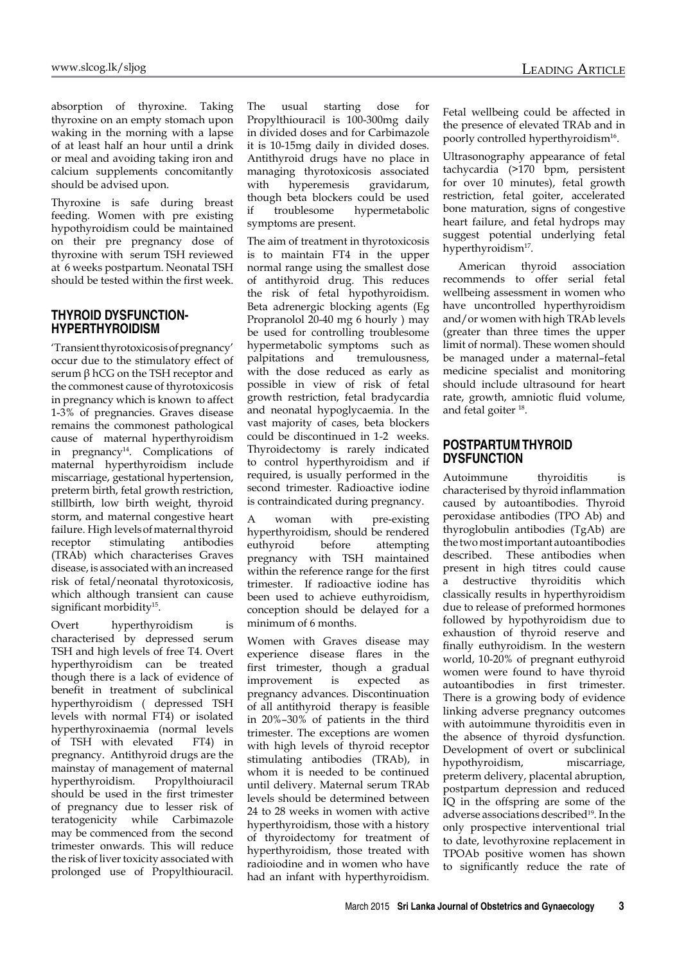absorption of thyroxine. Taking thyroxine on an empty stomach upon waking in the morning with a lapse of at least half an hour until a drink or meal and avoiding taking iron and calcium supplements concomitantly should be advised upon.

Thyroxine is safe during breast feeding. Women with pre existing hypothyroidism could be maintained on their pre pregnancy dose of thyroxine with serum TSH reviewed at 6 weeks postpartum. Neonatal TSH should be tested within the first week.

## **Thyroid dysfunctionhyperthyroidism**

'Transient thyrotoxicosis of pregnancy' occur due to the stimulatory effect of serum  $β$  hCG on the TSH receptor and the commonest cause of thyrotoxicosis in pregnancy which is known to affect 1-3% of pregnancies. Graves disease remains the commonest pathological cause of maternal hyperthyroidism in pregnancy<sup>14</sup>. Complications of maternal hyperthyroidism include miscarriage, gestational hypertension, preterm birth, fetal growth restriction, stillbirth, low birth weight, thyroid storm, and maternal congestive heart failure. High levels of maternal thyroid receptor stimulating antibodies (TRAb) which characterises Graves disease, is associated with an increased risk of fetal/neonatal thyrotoxicosis, which although transient can cause significant morbidity<sup>15</sup>.

Overt hyperthyroidism is characterised by depressed serum TSH and high levels of free T4. Overt hyperthyroidism can be treated though there is a lack of evidence of benefit in treatment of subclinical hyperthyroidism ( depressed TSH levels with normal FT4) or isolated hyperthyroxinaemia (normal levels of TSH with elevated FT4) in pregnancy. Antithyroid drugs are the mainstay of management of maternal hyperthyroidism. Propylthoiuracil should be used in the first trimester of pregnancy due to lesser risk of teratogenicity while Carbimazole may be commenced from the second trimester onwards. This will reduce the risk of liver toxicity associated with prolonged use of Propylthiouracil.

The usual starting dose for Propylthiouracil is 100-300mg daily in divided doses and for Carbimazole it is 10-15mg daily in divided doses. Antithyroid drugs have no place in managing thyrotoxicosis associated<br>with hyperemesis gravidarum, with hyperemesis gravidarum, though beta blockers could be used if troublesome hypermetabolic symptoms are present.

The aim of treatment in thyrotoxicosis is to maintain FT4 in the upper normal range using the smallest dose of antithyroid drug. This reduces the risk of fetal hypothyroidism. Beta adrenergic blocking agents (Eg Propranolol 20-40 mg 6 hourly ) may be used for controlling troublesome hypermetabolic symptoms such as palpitations and tremulousness, with the dose reduced as early as possible in view of risk of fetal growth restriction, fetal bradycardia and neonatal hypoglycaemia. In the vast majority of cases, beta blockers could be discontinued in 1-2 weeks. Thyroidectomy is rarely indicated to control hyperthyroidism and if required, is usually performed in the second trimester. Radioactive iodine is contraindicated during pregnancy.

woman with pre-existing hyperthyroidism, should be rendered euthyroid before attempting pregnancy with TSH maintained within the reference range for the first trimester. If radioactive iodine has been used to achieve euthyroidism, conception should be delayed for a minimum of 6 months.

Women with Graves disease may experience disease flares in the first trimester, though a gradual improvement is expected as pregnancy advances. Discontinuation of all antithyroid therapy is feasible in 20%–30% of patients in the third trimester. The exceptions are women with high levels of thyroid receptor stimulating antibodies (TRAb), in whom it is needed to be continued until delivery. Maternal serum TRAb levels should be determined between 24 to 28 weeks in women with active hyperthyroidism, those with a history of thyroidectomy for treatment of hyperthyroidism, those treated with radioiodine and in women who have had an infant with hyperthyroidism.

Fetal wellbeing could be affected in the presence of elevated TRAb and in poorly controlled hyperthyroidism<sup>16</sup>.

Ultrasonography appearance of fetal tachycardia (>170 bpm, persistent for over 10 minutes), fetal growth restriction, fetal goiter, accelerated bone maturation, signs of congestive heart failure, and fetal hydrops may suggest potential underlying fetal hyperthyroidism<sup>17</sup>.

 American thyroid association recommends to offer serial fetal wellbeing assessment in women who have uncontrolled hyperthyroidism and/or women with high TRAb levels (greater than three times the upper limit of normal). These women should be managed under a maternal–fetal medicine specialist and monitoring should include ultrasound for heart rate, growth, amniotic fluid volume, and fetal goiter 18.

#### **Postpartum thyroid dysfunction**

Autoimmune thyroiditis is characterised by thyroid inflammation caused by autoantibodies. Thyroid peroxidase antibodies (TPO Ab) and thyroglobulin antibodies (TgAb) are the two most important autoantibodies described. These antibodies when present in high titres could cause a destructive thyroiditis which classically results in hyperthyroidism due to release of preformed hormones followed by hypothyroidism due to exhaustion of thyroid reserve and finally euthyroidism. In the western world, 10-20% of pregnant euthyroid women were found to have thyroid autoantibodies in first trimester. There is a growing body of evidence linking adverse pregnancy outcomes with autoimmune thyroiditis even in the absence of thyroid dysfunction. Development of overt or subclinical hypothyroidism, miscarriage, preterm delivery, placental abruption, postpartum depression and reduced IQ in the offspring are some of the adverse associations described<sup>19</sup>. In the only prospective interventional trial to date, levothyroxine replacement in TPOAb positive women has shown to significantly reduce the rate of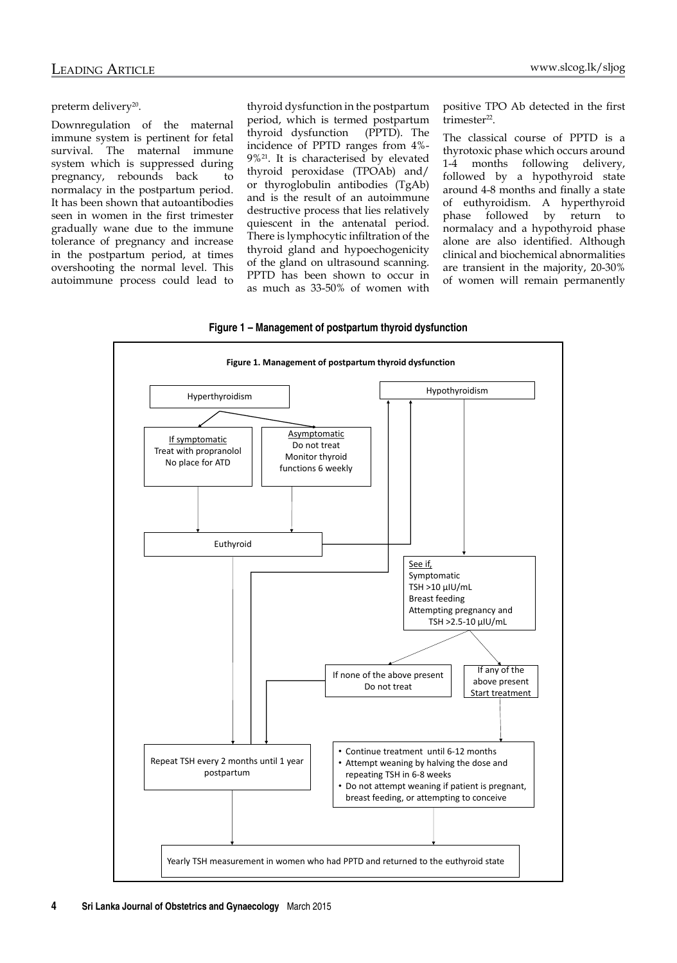positive TPO Ab detected in the first

The classical course of PPTD is a thyrotoxic phase which occurs around 1-4 months following delivery, followed by a hypothyroid state around 4-8 months and finally a state of euthyroidism. A hyperthyroid phase followed by return to normalacy and a hypothyroid phase alone are also identified. Although clinical and biochemical abnormalities are transient in the majority, 20-30% of women will remain permanently

trimester<sup>22</sup>.

#### preterm delivery<sup>20</sup>.

Downregulation of the maternal immune system is pertinent for fetal survival. The maternal immune system which is suppressed during pregnancy, rebounds back to normalacy in the postpartum period. It has been shown that autoantibodies seen in women in the first trimester gradually wane due to the immune tolerance of pregnancy and increase in the postpartum period, at times overshooting the normal level. This autoimmune process could lead to thyroid dysfunction in the postpartum period, which is termed postpartum thyroid dysfunction (PPTD). The incidence of PPTD ranges from 4%- 9%21. It is characterised by elevated thyroid peroxidase (TPOAb) and/ or thyroglobulin antibodies (TgAb) and is the result of an autoimmune destructive process that lies relatively quiescent in the antenatal period. There is lymphocytic infiltration of the thyroid gland and hypoechogenicity of the gland on ultrasound scanning. PPTD has been shown to occur in as much as 33-50% of women with

**Figure 1 – Management of postpartum thyroid dysfunction**